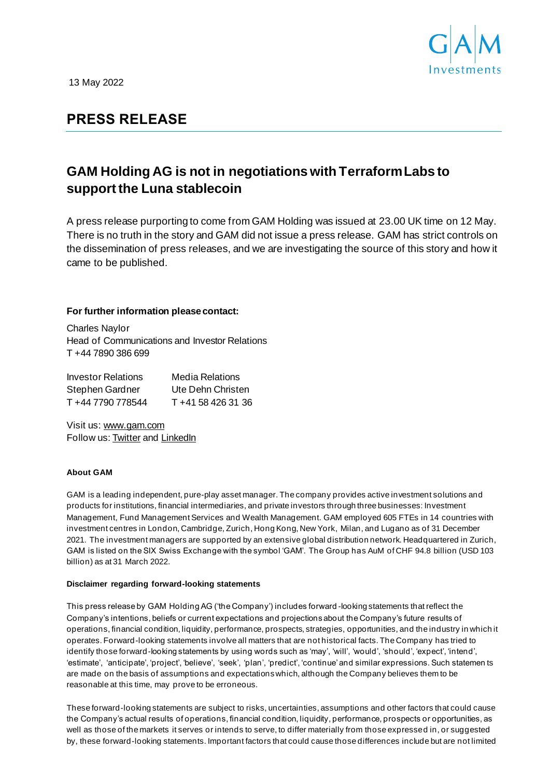

13 May 2022

## **PRESS RELEASE**

# **GAM Holding AG is not in negotiations with Terraform Labs to support the Luna stablecoin**

A press release purporting to come from GAM Holding was issued at 23.00 UK time on 12 May. There is no truth in the story and GAM did not issue a press release. GAM has strict controls on the dissemination of press releases, and we are investigating the source of this story and how it came to be published.

### **For further information please contact:**

Charles Naylor Head of Communications and Investor Relations T +44 7890 386 699

| <b>Investor Relations</b> | <b>Media Relations</b> |
|---------------------------|------------------------|
| Stephen Gardner           | Ute Dehn Christen      |
| T +44 7790 778544         | T +41 58 426 31 36     |

Visit us: www.gam.com Follow us: Twitter and LinkedIn

#### **About GAM**

GAM is a leading independent, pure-play asset manager. The company provides active investment solutions and products for institutions, financial intermediaries, and private investors through three businesses: Investment Management, Fund Management Services and Wealth Management. GAM employed 605 FTEs in 14 countries with investment centres in London, Cambridge, Zurich, Hong Kong, New York, Milan, and Lugano as of 31 December 2021. The investment managers are supported by an extensive global distribution network. Headquartered in Zurich, GAM is listed on the SIX Swiss Exchange with the symbol 'GAM'. The Group has AuM of CHF 94.8 billion (USD 103 billion) as at 31 March 2022.

#### **Disclaimer regarding forward-looking statements**

This press release by GAM Holding AG ('the Company') includes forward -looking statements that reflect the Company's intentions, beliefs or current expectations and projections about the Company's future results of operations, financial condition, liquidity, performance, prospects, strategies, opportunities, and the industry in which it operates. Forward-looking statements involve all matters that are not historical facts. The Company has tried to identify those forward-looking statements by using words such as 'may', 'will', 'would', 'should', 'expect', 'intend', 'estimate', 'anticipate', 'project', 'believe', 'seek', 'plan', 'predict', 'continue' and similar expressions. Such statemen ts are made on the basis of assumptions and expectations which, although the Company believes them to be reasonable at this time, may prove to be erroneous.

These forward-looking statements are subject to risks, uncertainties, assumptions and other factors that could cause the Company's actual results of operations, financial condition, liquidity, performance, prospects or opportunities, as well as those of the markets it serves or intends to serve, to differ materially from those expressed in, or suggested by, these forward-looking statements. Important factors that could cause those differences include but are not limited